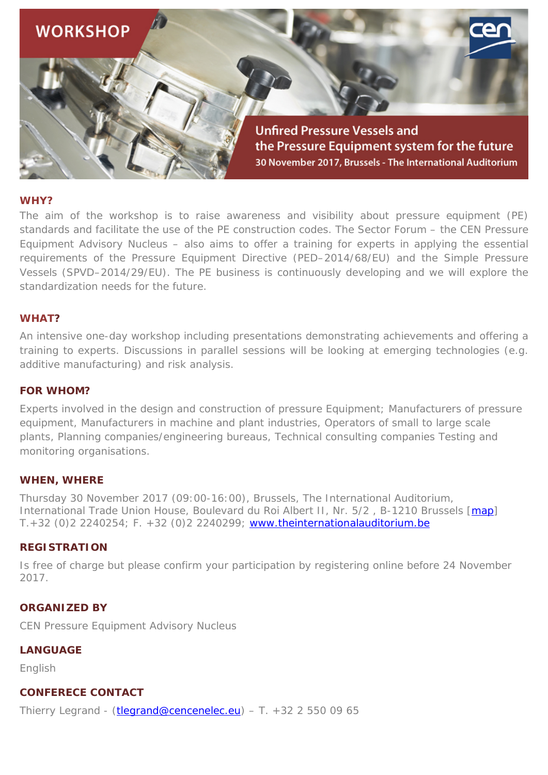

# **WHY?**

The aim of the workshop is to raise awareness and visibility about pressure equipment (PE) standards and facilitate the use of the PE construction codes. The Sector Forum – the CEN Pressure Equipment Advisory Nucleus – also aims to offer a training for experts in applying the essential requirements of the Pressure Equipment Directive (PED–2014/68/EU) and the Simple Pressure Vessels (SPVD–2014/29/EU). The PE business is continuously developing and we will explore the standardization needs for the future.

# **WHAT?**

An intensive one-day workshop including presentations demonstrating achievements and offering a training to experts. Discussions in parallel sessions will be looking at emerging technologies (e.g. additive manufacturing) and risk analysis.

## **FOR WHOM?**

Experts involved in the design and construction of pressure Equipment; Manufacturers of pressure equipment, Manufacturers in machine and plant industries, Operators of small to large scale plants, Planning companies/engineering bureaus, Technical consulting companies Testing and monitoring organisations.

#### **WHEN, WHERE**

Thursday 30 November 2017 (09:00-16:00), Brussels, The International Auditorium, International Trade Union House, Boulevard du Roi Albert II, Nr. 5/2, B-1210 Brussels [\[map\]](https://www.google.be/maps/place/Boulevard+Roi+Albert+II+5,+1000+Bruxelles/@50.857117,4.3540193,17z/data=!3m1!4b1!4m5!3m4!1s0x47c3c383233cb83b:0x9fce69cb5623bb4f!8m2!3d50.857117!4d4.356208) T.+32 (0)2 2240254; F. +32 (0)2 2240299; [www.theinternationalauditorium.be](http://www.theinternationalauditorium.be/)

#### **REGISTRATION**

Is free of charge but please confirm your participation by registering online before 24 November 2017.

#### **ORGANIZED BY**

CEN Pressure Equipment Advisory Nucleus

**LANGUAGE**

English

## **CONFERECE CONTACT**

Thierry Legrand - [\(tlegrand@cencenelec.eu\)](mailto:tlegrand@cencenelec.eu) – T.  $+32$  2 550 09 65